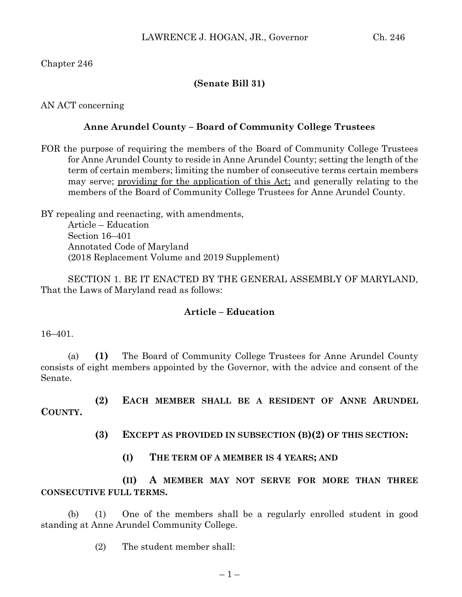Chapter 246

## **(Senate Bill 31)**

AN ACT concerning

### **Anne Arundel County – Board of Community College Trustees**

FOR the purpose of requiring the members of the Board of Community College Trustees for Anne Arundel County to reside in Anne Arundel County; setting the length of the term of certain members; limiting the number of consecutive terms certain members may serve; providing for the application of this Act; and generally relating to the members of the Board of Community College Trustees for Anne Arundel County.

BY repealing and reenacting, with amendments, Article – Education Section 16–401 Annotated Code of Maryland (2018 Replacement Volume and 2019 Supplement)

SECTION 1. BE IT ENACTED BY THE GENERAL ASSEMBLY OF MARYLAND, That the Laws of Maryland read as follows:

## **Article – Education**

16–401.

(a) **(1)** The Board of Community College Trustees for Anne Arundel County consists of eight members appointed by the Governor, with the advice and consent of the Senate.

**(2) EACH MEMBER SHALL BE A RESIDENT OF ANNE ARUNDEL COUNTY.**

**(3) EXCEPT AS PROVIDED IN SUBSECTION (B)(2) OF THIS SECTION:**

**(I) THE TERM OF A MEMBER IS 4 YEARS; AND**

**(II) A MEMBER MAY NOT SERVE FOR MORE THAN THREE CONSECUTIVE FULL TERMS.**

(b) (1) One of the members shall be a regularly enrolled student in good standing at Anne Arundel Community College.

(2) The student member shall: